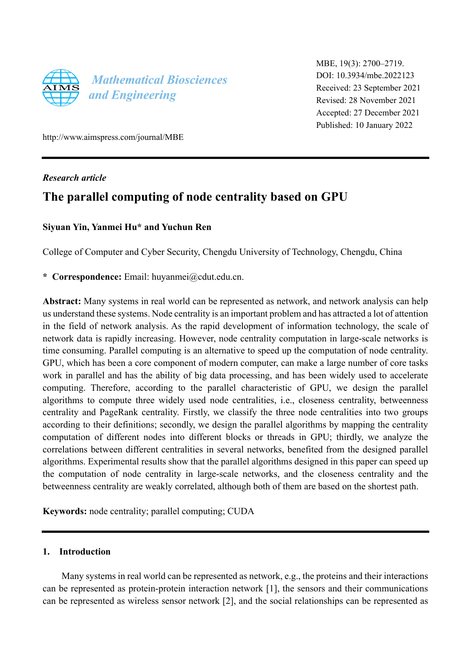

MBE, 19(3): 2700–2719. DOI: 10.3934/mbe.2022123 Received: 23 September 2021 Revised: 28 November 2021 Accepted: 27 December 2021 Published: 10 January 2022

http://www.aimspress.com/journal/MBE

*Research article* 

# **The parallel computing of node centrality based on GPU**

# **Siyuan Yin, Yanmei Hu\* and Yuchun Ren**

College of Computer and Cyber Security, Chengdu University of Technology, Chengdu, China

**\* Correspondence:** Email: huyanmei@cdut.edu.cn.

**Abstract:** Many systems in real world can be represented as network, and network analysis can help us understand these systems. Node centrality is an important problem and has attracted a lot of attention in the field of network analysis. As the rapid development of information technology, the scale of network data is rapidly increasing. However, node centrality computation in large-scale networks is time consuming. Parallel computing is an alternative to speed up the computation of node centrality. GPU, which has been a core component of modern computer, can make a large number of core tasks work in parallel and has the ability of big data processing, and has been widely used to accelerate computing. Therefore, according to the parallel characteristic of GPU, we design the parallel algorithms to compute three widely used node centralities, i.e., closeness centrality, betweenness centrality and PageRank centrality. Firstly, we classify the three node centralities into two groups according to their definitions; secondly, we design the parallel algorithms by mapping the centrality computation of different nodes into different blocks or threads in GPU; thirdly, we analyze the correlations between different centralities in several networks, benefited from the designed parallel algorithms. Experimental results show that the parallel algorithms designed in this paper can speed up the computation of node centrality in large-scale networks, and the closeness centrality and the betweenness centrality are weakly correlated, although both of them are based on the shortest path.

**Keywords:** node centrality; parallel computing; CUDA

# **1. Introduction**

Many systems in real world can be represented as network, e.g., the proteins and their interactions can be represented as protein-protein interaction network [1], the sensors and their communications can be represented as wireless sensor network [2], and the social relationships can be represented as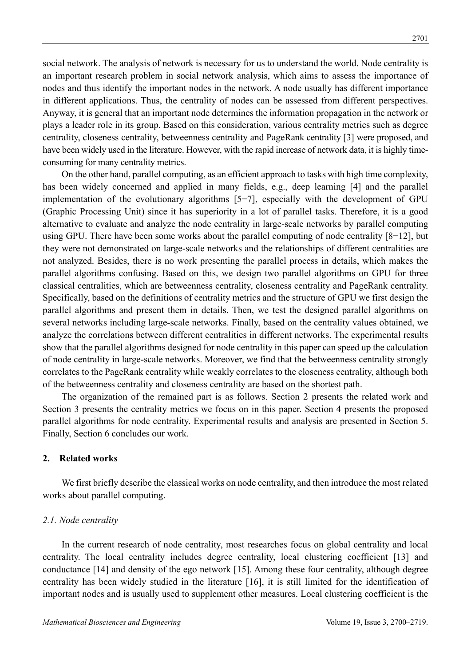social network. The analysis of network is necessary for us to understand the world. Node centrality is an important research problem in social network analysis, which aims to assess the importance of nodes and thus identify the important nodes in the network. A node usually has different importance in different applications. Thus, the centrality of nodes can be assessed from different perspectives. Anyway, it is general that an important node determines the information propagation in the network or plays a leader role in its group. Based on this consideration, various centrality metrics such as degree centrality, closeness centrality, betweenness centrality and PageRank centrality [3] were proposed, and have been widely used in the literature. However, with the rapid increase of network data, it is highly timeconsuming for many centrality metrics.

On the other hand, parallel computing, as an efficient approach to tasks with high time complexity, has been widely concerned and applied in many fields, e.g., deep learning [4] and the parallel implementation of the evolutionary algorithms [5−7], especially with the development of GPU (Graphic Processing Unit) since it has superiority in a lot of parallel tasks. Therefore, it is a good alternative to evaluate and analyze the node centrality in large-scale networks by parallel computing using GPU. There have been some works about the parallel computing of node centrality [8−12], but they were not demonstrated on large-scale networks and the relationships of different centralities are not analyzed. Besides, there is no work presenting the parallel process in details, which makes the parallel algorithms confusing. Based on this, we design two parallel algorithms on GPU for three classical centralities, which are betweenness centrality, closeness centrality and PageRank centrality. Specifically, based on the definitions of centrality metrics and the structure of GPU we first design the parallel algorithms and present them in details. Then, we test the designed parallel algorithms on several networks including large-scale networks. Finally, based on the centrality values obtained, we analyze the correlations between different centralities in different networks. The experimental results show that the parallel algorithms designed for node centrality in this paper can speed up the calculation of node centrality in large-scale networks. Moreover, we find that the betweenness centrality strongly correlates to the PageRank centrality while weakly correlates to the closeness centrality, although both of the betweenness centrality and closeness centrality are based on the shortest path.

The organization of the remained part is as follows. Section 2 presents the related work and Section 3 presents the centrality metrics we focus on in this paper. Section 4 presents the proposed parallel algorithms for node centrality. Experimental results and analysis are presented in Section 5. Finally, Section 6 concludes our work.

## **2. Related works**

We first briefly describe the classical works on node centrality, and then introduce the most related works about parallel computing.

#### *2.1. Node centrality*

In the current research of node centrality, most researches focus on global centrality and local centrality. The local centrality includes degree centrality, local clustering coefficient [13] and conductance [14] and density of the ego network [15]. Among these four centrality, although degree centrality has been widely studied in the literature [16], it is still limited for the identification of important nodes and is usually used to supplement other measures. Local clustering coefficient is the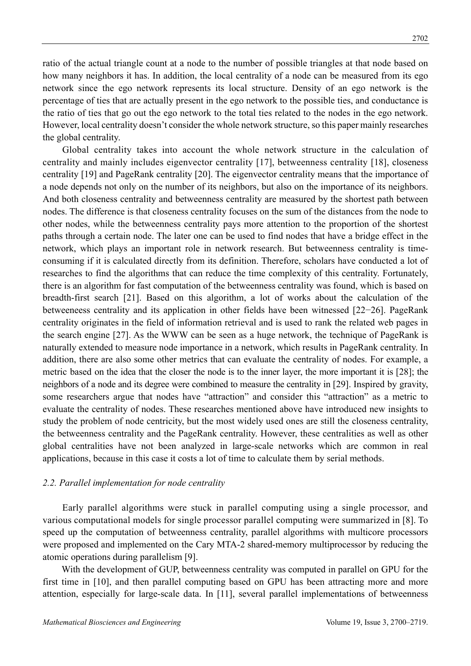ratio of the actual triangle count at a node to the number of possible triangles at that node based on how many neighbors it has. In addition, the local centrality of a node can be measured from its ego network since the ego network represents its local structure. Density of an ego network is the percentage of ties that are actually present in the ego network to the possible ties, and conductance is the ratio of ties that go out the ego network to the total ties related to the nodes in the ego network. However, local centrality doesn't consider the whole network structure, so this paper mainly researches the global centrality.

Global centrality takes into account the whole network structure in the calculation of centrality and mainly includes eigenvector centrality [17], betweenness centrality [18], closeness centrality [19] and PageRank centrality [20]. The eigenvector centrality means that the importance of a node depends not only on the number of its neighbors, but also on the importance of its neighbors. And both closeness centrality and betweenness centrality are measured by the shortest path between nodes. The difference is that closeness centrality focuses on the sum of the distances from the node to other nodes, while the betweenness centrality pays more attention to the proportion of the shortest paths through a certain node. The later one can be used to find nodes that have a bridge effect in the network, which plays an important role in network research. But betweenness centrality is timeconsuming if it is calculated directly from its definition. Therefore, scholars have conducted a lot of researches to find the algorithms that can reduce the time complexity of this centrality. Fortunately, there is an algorithm for fast computation of the betweenness centrality was found, which is based on breadth-first search [21]. Based on this algorithm, a lot of works about the calculation of the betweeneess centrality and its application in other fields have been witnessed [22−26]. PageRank centrality originates in the field of information retrieval and is used to rank the related web pages in the search engine [27]. As the WWW can be seen as a huge network, the technique of PageRank is naturally extended to measure node importance in a network, which results in PageRank centrality. In addition, there are also some other metrics that can evaluate the centrality of nodes. For example, a metric based on the idea that the closer the node is to the inner layer, the more important it is [28]; the neighbors of a node and its degree were combined to measure the centrality in [29]. Inspired by gravity, some researchers argue that nodes have "attraction" and consider this "attraction" as a metric to evaluate the centrality of nodes. These researches mentioned above have introduced new insights to study the problem of node centricity, but the most widely used ones are still the closeness centrality, the betweenness centrality and the PageRank centrality. However, these centralities as well as other global centralities have not been analyzed in large-scale networks which are common in real applications, because in this case it costs a lot of time to calculate them by serial methods.

### *2.2. Parallel implementation for node centrality*

Early parallel algorithms were stuck in parallel computing using a single processor, and various computational models for single processor parallel computing were summarized in [8]. To speed up the computation of betweenness centrality, parallel algorithms with multicore processors were proposed and implemented on the Cary MTA-2 shared-memory multiprocessor by reducing the atomic operations during parallelism [9].

With the development of GUP, betweenness centrality was computed in parallel on GPU for the first time in [10], and then parallel computing based on GPU has been attracting more and more attention, especially for large-scale data. In [11], several parallel implementations of betweenness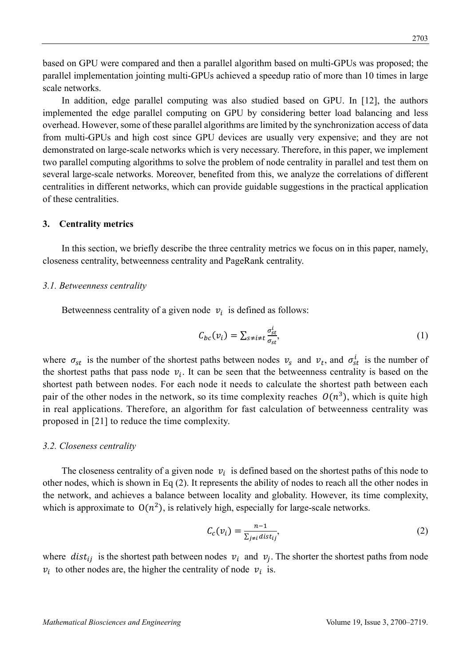based on GPU were compared and then a parallel algorithm based on multi-GPUs was proposed; the parallel implementation jointing multi-GPUs achieved a speedup ratio of more than 10 times in large scale networks.

In addition, edge parallel computing was also studied based on GPU. In [12], the authors implemented the edge parallel computing on GPU by considering better load balancing and less overhead. However, some of these parallel algorithms are limited by the synchronization access of data from multi-GPUs and high cost since GPU devices are usually very expensive; and they are not demonstrated on large-scale networks which is very necessary. Therefore, in this paper, we implement two parallel computing algorithms to solve the problem of node centrality in parallel and test them on several large-scale networks. Moreover, benefited from this, we analyze the correlations of different centralities in different networks, which can provide guidable suggestions in the practical application of these centralities.

### **3. Centrality metrics**

In this section, we briefly describe the three centrality metrics we focus on in this paper, namely, closeness centrality, betweenness centrality and PageRank centrality.

#### *3.1. Betweenness centrality*

Betweenness centrality of a given node  $v_i$  is defined as follows:

$$
C_{bc}(v_i) = \sum_{s \neq i \neq t} \frac{\sigma_{st}^i}{\sigma_{st}},\tag{1}
$$

where  $\sigma_{st}$  is the number of the shortest paths between nodes  $v_s$  and  $v_t$ , and  $\sigma_{st}^i$  is the number of the shortest paths that pass node  $v_i$ . It can be seen that the betweenness centrality is based on the shortest path between nodes. For each node it needs to calculate the shortest path between each pair of the other nodes in the network, so its time complexity reaches  $O(n^3)$ , which is quite high in real applications. Therefore, an algorithm for fast calculation of betweenness centrality was proposed in [21] to reduce the time complexity.

#### *3.2. Closeness centrality*

The closeness centrality of a given node  $v_i$  is defined based on the shortest paths of this node to other nodes, which is shown in Eq (2). It represents the ability of nodes to reach all the other nodes in the network, and achieves a balance between locality and globality. However, its time complexity, which is approximate to  $O(n^2)$ , is relatively high, especially for large-scale networks.

$$
C_c(v_i) = \frac{n-1}{\sum_{j \neq i} dist_{ij}},\tag{2}
$$

where  $dist_{ij}$  is the shortest path between nodes  $v_i$  and  $v_j$ . The shorter the shortest paths from node  $v_i$  to other nodes are, the higher the centrality of node  $v_i$  is.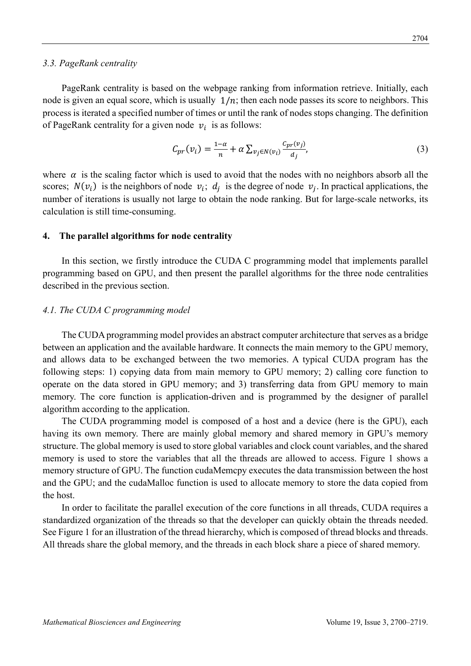# *3.3. PageRank centrality*

PageRank centrality is based on the webpage ranking from information retrieve. Initially, each node is given an equal score, which is usually  $1/n$ ; then each node passes its score to neighbors. This process is iterated a specified number of times or until the rank of nodes stops changing. The definition of PageRank centrality for a given node  $v_i$  is as follows:

$$
C_{pr}(v_i) = \frac{1-\alpha}{n} + \alpha \sum_{v_j \in N(v_i)} \frac{C_{pr}(v_j)}{d_j},\tag{3}
$$

where  $\alpha$  is the scaling factor which is used to avoid that the nodes with no neighbors absorb all the scores;  $N(v_i)$  is the neighbors of node  $v_i$ ;  $d_i$  is the degree of node  $v_i$ . In practical applications, the number of iterations is usually not large to obtain the node ranking. But for large-scale networks, its calculation is still time-consuming.

### **4. The parallel algorithms for node centrality**

In this section, we firstly introduce the CUDA C programming model that implements parallel programming based on GPU, and then present the parallel algorithms for the three node centralities described in the previous section.

### *4.1. The CUDA C programming model*

The CUDA programming model provides an abstract computer architecture that serves as a bridge between an application and the available hardware. It connects the main memory to the GPU memory, and allows data to be exchanged between the two memories. A typical CUDA program has the following steps: 1) copying data from main memory to GPU memory; 2) calling core function to operate on the data stored in GPU memory; and 3) transferring data from GPU memory to main memory. The core function is application-driven and is programmed by the designer of parallel algorithm according to the application.

The CUDA programming model is composed of a host and a device (here is the GPU), each having its own memory. There are mainly global memory and shared memory in GPU's memory structure. The global memory is used to store global variables and clock count variables, and the shared memory is used to store the variables that all the threads are allowed to access. Figure 1 shows a memory structure of GPU. The function cudaMemcpy executes the data transmission between the host and the GPU; and the cudaMalloc function is used to allocate memory to store the data copied from the host.

In order to facilitate the parallel execution of the core functions in all threads, CUDA requires a standardized organization of the threads so that the developer can quickly obtain the threads needed. See Figure 1 for an illustration of the thread hierarchy, which is composed of thread blocks and threads. All threads share the global memory, and the threads in each block share a piece of shared memory.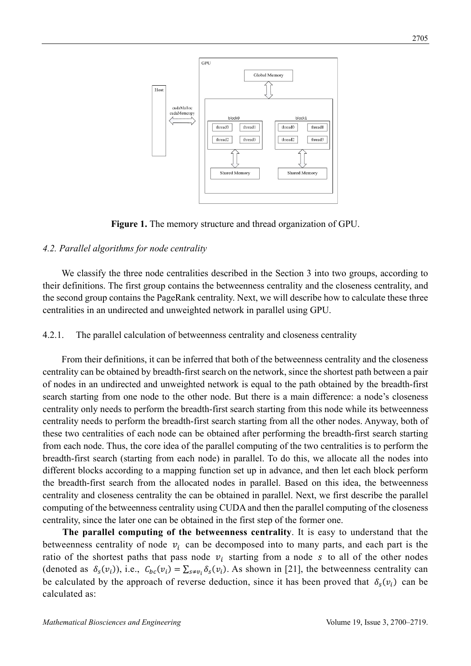

**Figure 1.** The memory structure and thread organization of GPU.

# *4.2. Parallel algorithms for node centrality*

We classify the three node centralities described in the Section 3 into two groups, according to their definitions. The first group contains the betweenness centrality and the closeness centrality, and the second group contains the PageRank centrality. Next, we will describe how to calculate these three centralities in an undirected and unweighted network in parallel using GPU.

4.2.1. The parallel calculation of betweenness centrality and closeness centrality

From their definitions, it can be inferred that both of the betweenness centrality and the closeness centrality can be obtained by breadth-first search on the network, since the shortest path between a pair of nodes in an undirected and unweighted network is equal to the path obtained by the breadth-first search starting from one node to the other node. But there is a main difference: a node's closeness centrality only needs to perform the breadth-first search starting from this node while its betweenness centrality needs to perform the breadth-first search starting from all the other nodes. Anyway, both of these two centralities of each node can be obtained after performing the breadth-first search starting from each node. Thus, the core idea of the parallel computing of the two centralities is to perform the breadth-first search (starting from each node) in parallel. To do this, we allocate all the nodes into different blocks according to a mapping function set up in advance, and then let each block perform the breadth-first search from the allocated nodes in parallel. Based on this idea, the betweenness centrality and closeness centrality the can be obtained in parallel. Next, we first describe the parallel computing of the betweenness centrality using CUDA and then the parallel computing of the closeness centrality, since the later one can be obtained in the first step of the former one.

**The parallel computing of the betweenness centrality**. It is easy to understand that the betweenness centrality of node  $v_i$  can be decomposed into to many parts, and each part is the ratio of the shortest paths that pass node  $v_i$  starting from a node s to all of the other nodes (denoted as  $\delta_s(v_i)$ ), i.e.,  $C_{bc}(v_i) = \sum_{s \neq v_i} \delta_s(v_i)$ . As shown in [21], the betweenness centrality can be calculated by the approach of reverse deduction, since it has been proved that  $\delta_s(v_i)$  can be calculated as: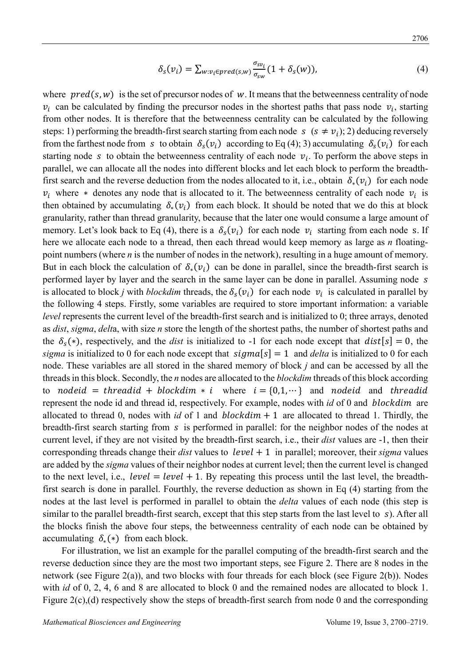$$
\delta_{s}(v_{i}) = \sum_{w:v_{i} \in pred(s,w)} \frac{\sigma_{sv_{i}}}{\sigma_{sw}} (1 + \delta_{s}(w)), \qquad (4)
$$

where  $pred(s, w)$  is the set of precursor nodes of w. It means that the betweenness centrality of node  $v_i$  can be calculated by finding the precursor nodes in the shortest paths that pass node  $v_i$ , starting from other nodes. It is therefore that the betweenness centrality can be calculated by the following steps: 1) performing the breadth-first search starting from each node  $s$  ( $s \neq v_i$ ); 2) deducing reversely from the farthest node from s to obtain  $\delta_{s}(v_i)$  according to Eq (4); 3) accumulating  $\delta_{s}(v_i)$  for each starting node s to obtain the betweenness centrality of each node  $v_i$ . To perform the above steps in parallel, we can allocate all the nodes into different blocks and let each block to perform the breadthfirst search and the reverse deduction from the nodes allocated to it, i.e., obtain  $\delta_*(v_i)$  for each node  $v_i$  where \* denotes any node that is allocated to it. The betweenness centrality of each node  $v_i$  is then obtained by accumulating  $\delta_*(v_i)$  from each block. It should be noted that we do this at block granularity, rather than thread granularity, because that the later one would consume a large amount of memory. Let's look back to Eq (4), there is a  $\delta_s(v_i)$  for each node  $v_i$  starting from each node s. If here we allocate each node to a thread, then each thread would keep memory as large as *n* floatingpoint numbers (where *n* is the number of nodes in the network), resulting in a huge amount of memory. But in each block the calculation of  $\delta_{*}(\nu_{i})$  can be done in parallel, since the breadth-first search is performed layer by layer and the search in the same layer can be done in parallel. Assuming node is allocated to block *j* with *blockdim* threads, the  $\delta_s(v_i)$  for each node  $v_i$  is calculated in parallel by the following 4 steps. Firstly, some variables are required to store important information: a variable *level* represents the current level of the breadth-first search and is initialized to 0; three arrays, denoted as *dist*, *sigma*, *delt*a, with size *n* store the length of the shortest paths, the number of shortest paths and the  $\delta_s(*)$ , respectively, and the *dist* is initialized to -1 for each node except that  $dist[s] = 0$ , the *sigma* is initialized to 0 for each node except that  $sigma[s] = 1$  and *delta* is initialized to 0 for each node. These variables are all stored in the shared memory of block *j* and can be accessed by all the threads in this block. Secondly, the *n* nodes are allocated to the *blockdim* threads of this block according to nodeid = threadid + blockdim \* i where  $i = \{0,1,\dots\}$  and nodeid and threadid represent the node id and thread id, respectively. For example, nodes with *id* of 0 and *blockdim* are allocated to thread 0, nodes with *id* of 1 and  $blockdim + 1$  are allocated to thread 1. Thirdly, the breadth-first search starting from  $s$  is performed in parallel: for the neighbor nodes of the nodes at current level, if they are not visited by the breadth-first search, i.e., their *dist* values are -1, then their corresponding threads change their *dist* values to  $level + 1$  in parallel; moreover, their *sigma* values are added by the *sigma* values of their neighbor nodes at current level; then the current level is changed to the next level, i.e.,  $level = level + 1$ . By repeating this process until the last level, the breadthfirst search is done in parallel. Fourthly, the reverse deduction as shown in Eq (4) starting from the nodes at the last level is performed in parallel to obtain the *delta* values of each node (this step is similar to the parallel breadth-first search, except that this step starts from the last level to  $s$ ). After all the blocks finish the above four steps, the betweenness centrality of each node can be obtained by accumulating  $\delta_*(*)$  from each block.

For illustration, we list an example for the parallel computing of the breadth-first search and the reverse deduction since they are the most two important steps, see Figure 2. There are 8 nodes in the network (see Figure 2(a)), and two blocks with four threads for each block (see Figure 2(b)). Nodes with *id* of 0, 2, 4, 6 and 8 are allocated to block 0 and the remained nodes are allocated to block 1. Figure 2(c),(d) respectively show the steps of breadth-first search from node 0 and the corresponding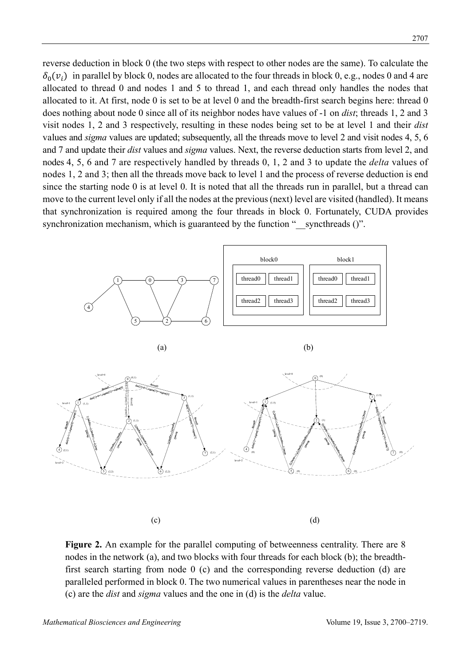reverse deduction in block 0 (the two steps with respect to other nodes are the same). To calculate the  $\delta_0(v_i)$  in parallel by block 0, nodes are allocated to the four threads in block 0, e.g., nodes 0 and 4 are allocated to thread 0 and nodes 1 and 5 to thread 1, and each thread only handles the nodes that allocated to it. At first, node 0 is set to be at level 0 and the breadth-first search begins here: thread 0 does nothing about node 0 since all of its neighbor nodes have values of -1 on *dist*; threads 1, 2 and 3 visit nodes 1, 2 and 3 respectively, resulting in these nodes being set to be at level 1 and their *dist* values and *sigma* values are updated; subsequently, all the threads move to level 2 and visit nodes 4, 5, 6 and 7 and update their *dist* values and *sigma* values. Next, the reverse deduction starts from level 2, and nodes 4, 5, 6 and 7 are respectively handled by threads 0, 1, 2 and 3 to update the *delta* values of nodes 1, 2 and 3; then all the threads move back to level 1 and the process of reverse deduction is end since the starting node 0 is at level 0. It is noted that all the threads run in parallel, but a thread can move to the current level only if all the nodes at the previous (next) level are visited (handled). It means that synchronization is required among the four threads in block 0. Fortunately, CUDA provides synchronization mechanism, which is guaranteed by the function "\_\_syncthreads ()".



**Figure 2.** An example for the parallel computing of betweenness centrality. There are 8 nodes in the network (a), and two blocks with four threads for each block (b); the breadthfirst search starting from node 0 (c) and the corresponding reverse deduction (d) are paralleled performed in block 0. The two numerical values in parentheses near the node in (c) are the *dist* and *sigma* values and the one in (d) is the *delta* value.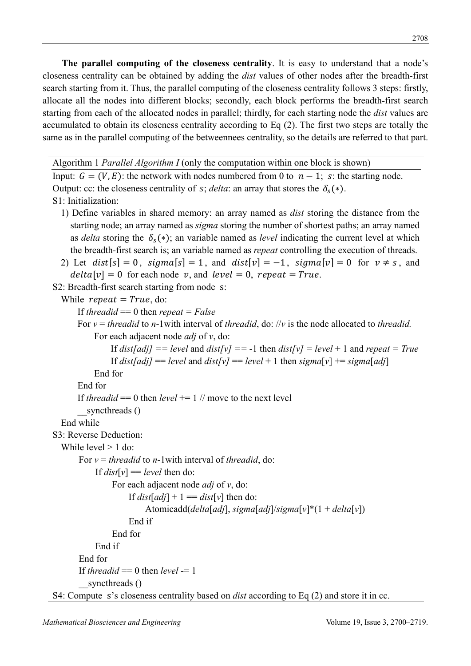**The parallel computing of the closeness centrality**. It is easy to understand that a node's closeness centrality can be obtained by adding the *dist* values of other nodes after the breadth-first search starting from it. Thus, the parallel computing of the closeness centrality follows 3 steps: firstly, allocate all the nodes into different blocks; secondly, each block performs the breadth-first search starting from each of the allocated nodes in parallel; thirdly, for each starting node the *dist* values are accumulated to obtain its closeness centrality according to Eq (2). The first two steps are totally the same as in the parallel computing of the betweennees centrality, so the details are referred to that part.

Algorithm 1 *Parallel Algorithm I* (only the computation within one block is shown) Input:  $G = (V, E)$ : the network with nodes numbered from 0 to  $n - 1$ ; s: the starting node. Output: cc: the closeness centrality of  $s$ ; *delta*: an array that stores the  $\delta_{s}(*)$ . S1: Initialization: 1) Define variables in shared memory: an array named as *dist* storing the distance from the starting node; an array named as *sigma* storing the number of shortest paths; an array named as *delta* storing the  $\delta_s(*)$ ; an variable named as *level* indicating the current level at which the breadth-first search is; an variable named as *repeat* controlling the execution of threads. 2) Let  $dist[s] = 0$ ,  $sigma[s] = 1$ , and  $dist[v] = -1$ ,  $sigma[v] = 0$  for  $v \neq s$ , and  $delta[v] = 0$  for each node v, and level = 0, repeat = True. S2: Breadth-first search starting from node s: While  $repeat = True$ , do: If *threadid* == 0 then *repeat = False* For *v* = *threadid* to *n*-1with interval of *threadid*, do: //*v* is the node allocated to *threadid.* For each adjacent node *adj* of *v*, do: If  $dist[adj] == level$  and  $dist[v] == -1$  then  $dist[v] = level + 1$  and  $repeat = True$ If  $dist[adj] == level$  and  $dist[v] == level + 1$  then  $signal[v] += sigma[adj]$ End for End for If *threadid* == 0 then *level* +=  $1$  // move to the next level syncthreads () End while S3: Reverse Deduction: While level  $> 1$  do: For *v* = *threadid* to *n*-1with interval of *threadid*, do: If  $dist[v] = level$  then do: For each adjacent node *adj* of *v*, do: If  $dist[adj] + 1 == dist[v]$  then do: Atomicadd(*delta*[*adj*], *sigma*[*adj*]/*sigma*[*v*]\*(1 + *delta*[*v*]) End if End for End if End for If *threadid*  $== 0$  then *level*  $== 1$ syncthreads ()

S4: Compute s's closeness centrality based on *dist* according to Eq (2) and store it in cc.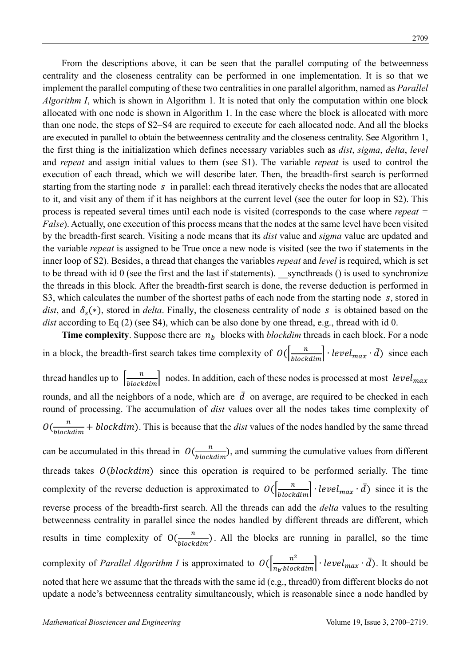From the descriptions above, it can be seen that the parallel computing of the betweenness centrality and the closeness centrality can be performed in one implementation. It is so that we implement the parallel computing of these two centralities in one parallel algorithm, named as *Parallel Algorithm I*, which is shown in Algorithm 1*.* It is noted that only the computation within one block allocated with one node is shown in Algorithm 1. In the case where the block is allocated with more than one node, the steps of S2–S4 are required to execute for each allocated node. And all the blocks are executed in parallel to obtain the betweenness centrality and the closeness centrality. See Algorithm 1, the first thing is the initialization which defines necessary variables such as *dist*, *sigma*, *delta*, *level* and *repeat* and assign initial values to them (see S1). The variable *repeat* is used to control the execution of each thread, which we will describe later. Then, the breadth-first search is performed starting from the starting node  $\,s\,$  in parallel: each thread iteratively checks the nodes that are allocated to it, and visit any of them if it has neighbors at the current level (see the outer for loop in S2). This process is repeated several times until each node is visited (corresponds to the case where *repeat = False*). Actually, one execution of this process means that the nodes at the same level have been visited by the breadth-first search. Visiting a node means that its *dist* value and *sigma* value are updated and the variable *repeat* is assigned to be True once a new node is visited (see the two if statements in the inner loop of S2). Besides, a thread that changes the variables *repeat* and *level* is required, which is set to be thread with id  $\theta$  (see the first and the last if statements). syncthreads () is used to synchronize the threads in this block. After the breadth-first search is done, the reverse deduction is performed in S3, which calculates the number of the shortest paths of each node from the starting node s, stored in *dist*, and  $\delta_s(*)$ , stored in *delta*. Finally, the closeness centrality of node s is obtained based on the *dist* according to Eq (2) (see S4), which can be also done by one thread, e.g., thread with id 0.

**Time complexity**. Suppose there are  $n_h$  blocks with *blockdim* threads in each block. For a node in a block, the breadth-first search takes time complexity of  $O(\frac{n}{block_{block}}) \cdot level_{max} \cdot d)$  since each thread handles up to  $\left[\frac{n}{blockdim}\right]$  nodes. In addition, each of these nodes is processed at most  $level_{max}$ rounds, and all the neighbors of a node, which are  $\bar{d}$  on average, are required to be checked in each round of processing. The accumulation of *dist* values over all the nodes takes time complexity of  $O(\frac{n}{blockdim} + blockdim)$ . This is because that the *dist* values of the nodes handled by the same thread can be accumulated in this thread in  $O(\frac{n}{block dim})$ , and summing the cumulative values from different threads takes  $O(blockdim)$  since this operation is required to be performed serially. The time complexity of the reverse deduction is approximated to  $O(\frac{n}{block_{\text{blockdim}}}) \cdot level_{\text{max}} \cdot d)$  since it is the reverse process of the breadth-first search. All the threads can add the *delta* values to the resulting betweenness centrality in parallel since the nodes handled by different threads are different, which results in time complexity of  $O(\frac{n}{block dim})$ . All the blocks are running in parallel, so the time complexity of *Parallel Algorithm I* is approximated to  $O(\frac{n^2}{n_b \cdot blockdim}) \cdot level_{max} \cdot d$ . It should be noted that here we assume that the threads with the same id (e.g., thread0) from different blocks do not update a node's betweenness centrality simultaneously, which is reasonable since a node handled by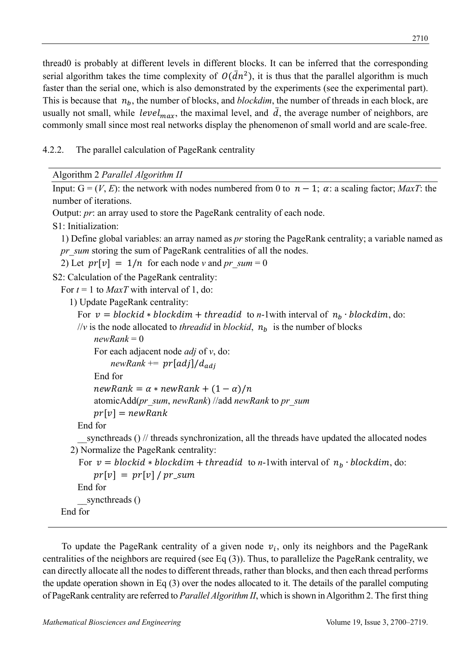thread0 is probably at different levels in different blocks. It can be inferred that the corresponding serial algorithm takes the time complexity of  $O(\bar{d}n^2)$ , it is thus that the parallel algorithm is much faster than the serial one, which is also demonstrated by the experiments (see the experimental part). This is because that  $n_h$ , the number of blocks, and *blockdim*, the number of threads in each block, are usually not small, while level<sub>max</sub>, the maximal level, and  $\bar{d}$ , the average number of neighbors, are commonly small since most real networks display the phenomenon of small world and are scale-free.

4.2.2. The parallel calculation of PageRank centrality

Algorithm 2 *Parallel Algorithm II*

```
Input: G = (V, E): the network with nodes numbered from 0 to n - 1; \alpha: a scaling factor; MaxT: the
number of iterations. 
Output: pr: an array used to store the PageRank centrality of each node.
S1: Initialization: 
  1) Define global variables: an array named as pr storing the PageRank centrality; a variable named as 
 pr_sum storing the sum of PageRank centralities of all the nodes.
  2) Let pr[v] = 1/n for each node v and pr_sum = 0
S2: Calculation of the PageRank centrality: 
  For t = 1 to MaxT with interval of 1, do:
    1) Update PageRank centrality: 
      For v = blockid * blockdim + threadid to n-1with interval of n_b \cdot blockdim, do:
      //v is the node allocated to threadid in blockid, n_h is the number of blocks
          newRank = 0 
          For each adjacent node adj of v, do: 
               newRank += pr[adj]/d_{adj}End for 
          newRank = \alpha * newRank + (1 - \alpha)/natomicAdd(pr_sum, newRank) //add newRank to pr_sum 
          pr[v] = newRankEnd for 
        syncthreads () \theta threads synchronization, all the threads have updated the allocated nodes
    2) Normalize the PageRank centrality: 
      For v = blockid * blockdim + threadid to n-1with interval of n_h \cdot blockdim, do:
          pr[v] = pr[v] / pr\_sumEnd for 
        syncthreads ()
  End for
```
To update the PageRank centrality of a given node  $v_i$ , only its neighbors and the PageRank centralities of the neighbors are required (see Eq (3)). Thus, to parallelize the PageRank centrality, we can directly allocate all the nodes to different threads, rather than blocks, and then each thread performs the update operation shown in Eq (3) over the nodes allocated to it. The details of the parallel computing of PageRank centrality are referred to *Parallel Algorithm II*, which is shown in Algorithm 2. The first thing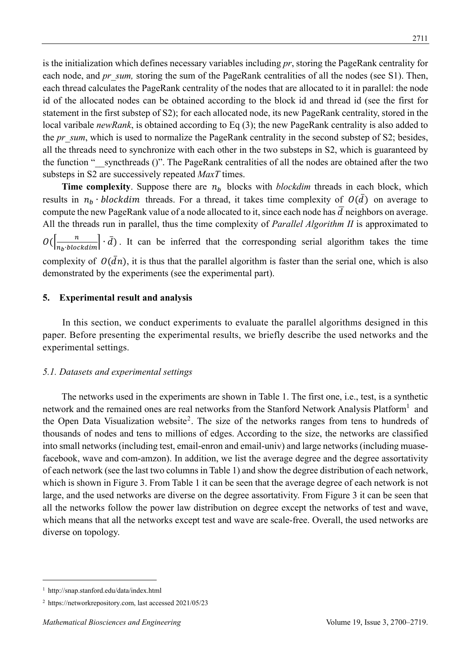is the initialization which defines necessary variables including *pr*, storing the PageRank centrality for each node, and *pr* sum, storing the sum of the PageRank centralities of all the nodes (see S1). Then, each thread calculates the PageRank centrality of the nodes that are allocated to it in parallel: the node id of the allocated nodes can be obtained according to the block id and thread id (see the first for statement in the first substep of S2); for each allocated node, its new PageRank centrality, stored in the local varibale *newRank*, is obtained according to Eq (3); the new PageRank centrality is also added to the *pr* sum, which is used to normalize the PageRank centrality in the second substep of S2; besides, all the threads need to synchronize with each other in the two substeps in S2, which is guaranteed by the function "\_\_syncthreads ()". The PageRank centralities of all the nodes are obtained after the two substeps in S2 are successively repeated *MaxT* times.

**Time complexity**. Suppose there are  $n<sub>b</sub>$  blocks with *blockdim* threads in each block, which results in  $n_b \cdot block \, dim$  threads. For a thread, it takes time complexity of  $O(\bar{d})$  on average to compute the new PageRank value of a node allocated to it, since each node has  $\overline{d}$  neighbors on average. All the threads run in parallel, thus the time complexity of *Parallel Algorithm II* is approximated to  $O(\left[\frac{n}{n_b \cdot block \dim}\right] \cdot \bar{d})$ . It can be inferred that the corresponding serial algorithm takes the time complexity of  $O(\bar{d}n)$ , it is thus that the parallel algorithm is faster than the serial one, which is also demonstrated by the experiments (see the experimental part).

### **5. Experimental result and analysis**

In this section, we conduct experiments to evaluate the parallel algorithms designed in this paper. Before presenting the experimental results, we briefly describe the used networks and the experimental settings.

#### *5.1. Datasets and experimental settings*

The networks used in the experiments are shown in Table 1. The first one, i.e., test, is a synthetic network and the remained ones are real networks from the Stanford Network Analysis Platform<sup>1</sup> and the Open Data Visualization website<sup>2</sup>. The size of the networks ranges from tens to hundreds of thousands of nodes and tens to millions of edges. According to the size, the networks are classified into small networks (including test, email-enron and email-univ) and large networks (including muasefacebook, wave and com-amzon). In addition, we list the average degree and the degree assortativity of each network (see the last two columns in Table 1) and show the degree distribution of each network, which is shown in Figure 3. From Table 1 it can be seen that the average degree of each network is not large, and the used networks are diverse on the degree assortativity. From Figure 3 it can be seen that all the networks follow the power law distribution on degree except the networks of test and wave, which means that all the networks except test and wave are scale-free. Overall, the used networks are diverse on topology.

<sup>1</sup> http://snap.stanford.edu/data/index.html

<sup>2</sup> https://networkrepository.com, last accessed 2021/05/23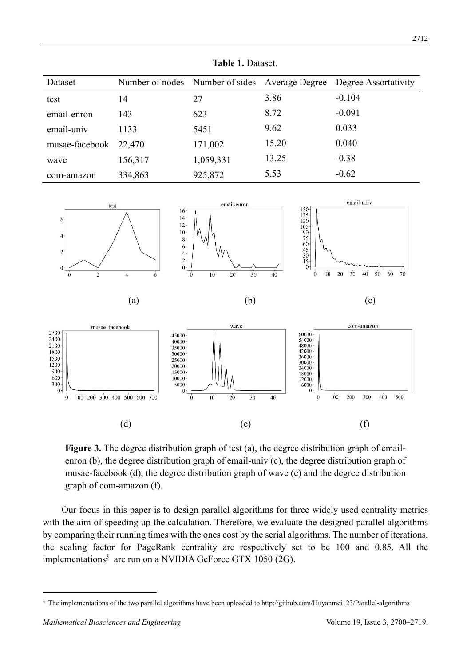|                | 14910 11 Daugot.                               |           |       |                      |  |
|----------------|------------------------------------------------|-----------|-------|----------------------|--|
| Dataset        | Number of nodes Number of sides Average Degree |           |       | Degree Assortativity |  |
| test           | 14                                             | 27        | 3.86  | $-0.104$             |  |
| email-enron    | 143                                            | 623       | 8.72  | $-0.091$             |  |
| email-univ     | 1133                                           | 5451      | 9.62  | 0.033                |  |
| musae-facebook | 22,470                                         | 171,002   | 15.20 | 0.040                |  |
| wave           | 156,317                                        | 1,059,331 | 13.25 | $-0.38$              |  |
| com-amazon     | 334,863                                        | 925,872   | 5.53  | $-0.62$              |  |

**Table 1.** Dataset.



Figure 3. The degree distribution graph of test (a), the degree distribution graph of emailenron (b), the degree distribution graph of email-univ (c), the degree distribution graph of musae-facebook (d), the degree distribution graph of wave (e) and the degree distribution graph of com-amazon (f).

Our focus in this paper is to design parallel algorithms for three widely used centrality metrics with the aim of speeding up the calculation. Therefore, we evaluate the designed parallel algorithms by comparing their running times with the ones cost by the serial algorithms. The number of iterations, the scaling factor for PageRank centrality are respectively set to be 100 and 0.85. All the implementations<sup>3</sup> are run on a NVIDIA GeForce GTX 1050 (2G).

<sup>&</sup>lt;sup>3</sup> The implementations of the two parallel algorithms have been uploaded to http://github.com/Huyanmei123/Parallel-algorithms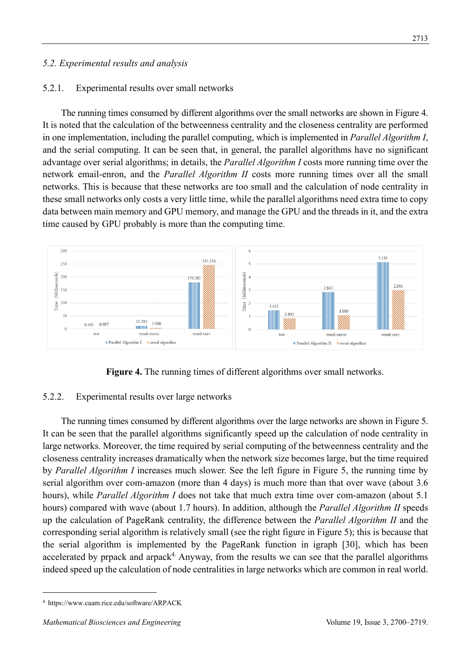# *5.2. Experimental results and analysis*

#### 5.2.1. Experimental results over small networks

The running times consumed by different algorithms over the small networks are shown in Figure 4. It is noted that the calculation of the betweenness centrality and the closeness centrality are performed in one implementation, including the parallel computing, which is implemented in *Parallel Algorithm I*, and the serial computing. It can be seen that, in general, the parallel algorithms have no significant advantage over serial algorithms; in details, the *Parallel Algorithm I* costs more running time over the network email-enron, and the *Parallel Algorithm II* costs more running times over all the small networks. This is because that these networks are too small and the calculation of node centrality in these small networks only costs a very little time, while the parallel algorithms need extra time to copy data between main memory and GPU memory, and manage the GPU and the threads in it, and the extra time caused by GPU probably is more than the computing time.



**Figure 4.** The running times of different algorithms over small networks.

### 5.2.2. Experimental results over large networks

The running times consumed by different algorithms over the large networks are shown in Figure 5. It can be seen that the parallel algorithms significantly speed up the calculation of node centrality in large networks. Moreover, the time required by serial computing of the betweenness centrality and the closeness centrality increases dramatically when the network size becomes large, but the time required by *Parallel Algorithm I* increases much slower. See the left figure in Figure 5, the running time by serial algorithm over com-amazon (more than 4 days) is much more than that over wave (about 3.6 hours), while *Parallel Algorithm I* does not take that much extra time over com-amazon (about 5.1 hours) compared with wave (about 1.7 hours). In addition, although the *Parallel Algorithm II* speeds up the calculation of PageRank centrality, the difference between the *Parallel Algorithm II* and the corresponding serial algorithm is relatively small (see the right figure in Figure 5); this is because that the serial algorithm is implemented by the PageRank function in igraph [30], which has been accelerated by prpack and arpack<sup>4.</sup> Anyway, from the results we can see that the parallel algorithms indeed speed up the calculation of node centralities in large networks which are common in real world.

<sup>4</sup> https://www.caam.rice.edu/software/ARPACK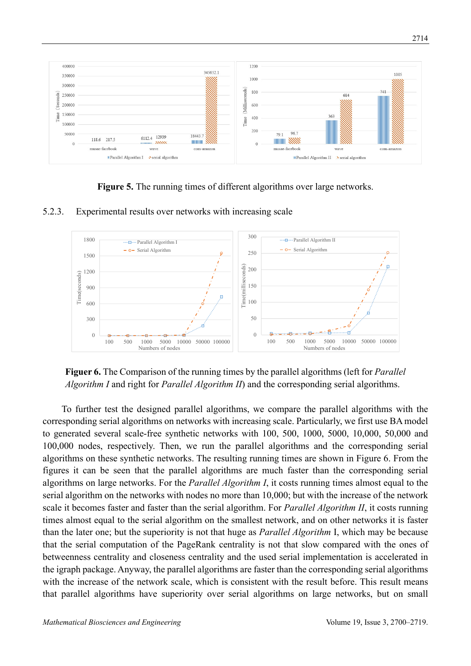

**Figure 5.** The running times of different algorithms over large networks.



5.2.3. Experimental results over networks with increasing scale



To further test the designed parallel algorithms, we compare the parallel algorithms with the corresponding serial algorithms on networks with increasing scale. Particularly, we first use BA model to generated several scale-free synthetic networks with 100, 500, 1000, 5000, 10,000, 50,000 and 100,000 nodes, respectively. Then, we run the parallel algorithms and the corresponding serial algorithms on these synthetic networks. The resulting running times are shown in Figure 6. From the figures it can be seen that the parallel algorithms are much faster than the corresponding serial algorithms on large networks. For the *Parallel Algorithm I*, it costs running times almost equal to the serial algorithm on the networks with nodes no more than 10,000; but with the increase of the network scale it becomes faster and faster than the serial algorithm. For *Parallel Algorithm II*, it costs running times almost equal to the serial algorithm on the smallest network, and on other networks it is faster than the later one; but the superiority is not that huge as *Parallel Algorithm* I, which may be because that the serial computation of the PageRank centrality is not that slow compared with the ones of betweenness centrality and closeness centrality and the used serial implementation is accelerated in the igraph package. Anyway, the parallel algorithms are faster than the corresponding serial algorithms with the increase of the network scale, which is consistent with the result before. This result means that parallel algorithms have superiority over serial algorithms on large networks, but on small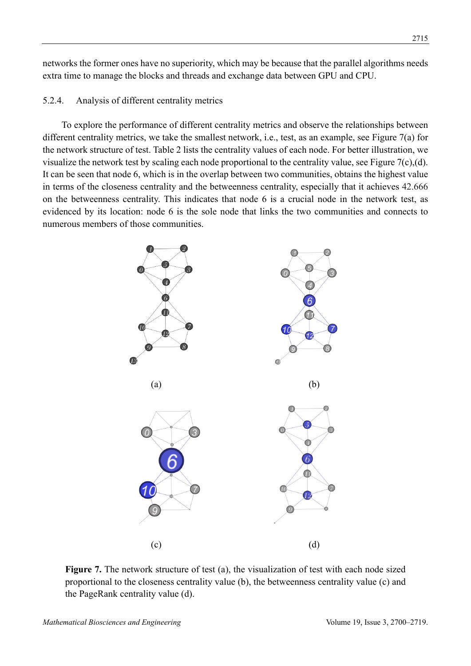networks the former ones have no superiority, which may be because that the parallel algorithms needs extra time to manage the blocks and threads and exchange data between GPU and CPU.

# 5.2.4. Analysis of different centrality metrics

To explore the performance of different centrality metrics and observe the relationships between different centrality metrics, we take the smallest network, i.e., test, as an example, see Figure 7(a) for the network structure of test. Table 2 lists the centrality values of each node. For better illustration, we visualize the network test by scaling each node proportional to the centrality value, see Figure 7(c),(d). It can be seen that node 6, which is in the overlap between two communities, obtains the highest value in terms of the closeness centrality and the betweenness centrality, especially that it achieves 42.666 on the betweenness centrality. This indicates that node 6 is a crucial node in the network test, as evidenced by its location: node 6 is the sole node that links the two communities and connects to numerous members of those communities.



Figure 7. The network structure of test (a), the visualization of test with each node sized proportional to the closeness centrality value (b), the betweenness centrality value (c) and the PageRank centrality value (d).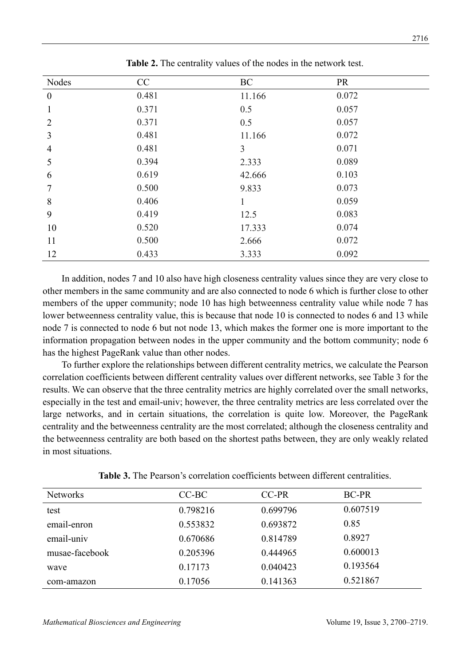| Nodes            | CC    | <b>BC</b>    | <b>PR</b> |  |
|------------------|-------|--------------|-----------|--|
| $\boldsymbol{0}$ | 0.481 | 11.166       | 0.072     |  |
| 1                | 0.371 | 0.5          | 0.057     |  |
| $\overline{2}$   | 0.371 | 0.5          | 0.057     |  |
| 3                | 0.481 | 11.166       | 0.072     |  |
| $\overline{4}$   | 0.481 | 3            | 0.071     |  |
| 5                | 0.394 | 2.333        | 0.089     |  |
| 6                | 0.619 | 42.666       | 0.103     |  |
| 7                | 0.500 | 9.833        | 0.073     |  |
| 8                | 0.406 | $\mathbf{1}$ | 0.059     |  |
| 9                | 0.419 | 12.5         | 0.083     |  |
| 10               | 0.520 | 17.333       | 0.074     |  |
| 11               | 0.500 | 2.666        | 0.072     |  |
| 12               | 0.433 | 3.333        | 0.092     |  |

**Table 2.** The centrality values of the nodes in the network test.

In addition, nodes 7 and 10 also have high closeness centrality values since they are very close to other members in the same community and are also connected to node 6 which is further close to other members of the upper community; node 10 has high betweenness centrality value while node 7 has lower betweenness centrality value, this is because that node 10 is connected to nodes 6 and 13 while node 7 is connected to node 6 but not node 13, which makes the former one is more important to the information propagation between nodes in the upper community and the bottom community; node 6 has the highest PageRank value than other nodes.

To further explore the relationships between different centrality metrics, we calculate the Pearson correlation coefficients between different centrality values over different networks, see Table 3 for the results. We can observe that the three centrality metrics are highly correlated over the small networks, especially in the test and email-univ; however, the three centrality metrics are less correlated over the large networks, and in certain situations, the correlation is quite low. Moreover, the PageRank centrality and the betweenness centrality are the most correlated; although the closeness centrality and the betweenness centrality are both based on the shortest paths between, they are only weakly related in most situations.

| <b>Networks</b> | $CC-BC$  | CC-PR    | <b>BC-PR</b> |  |
|-----------------|----------|----------|--------------|--|
| test            | 0.798216 | 0.699796 | 0.607519     |  |
| email-enron     | 0.553832 | 0.693872 | 0.85         |  |
| email-univ      | 0.670686 | 0.814789 | 0.8927       |  |
| musae-facebook  | 0.205396 | 0.444965 | 0.600013     |  |
| wave            | 0.17173  | 0.040423 | 0.193564     |  |
| com-amazon      | 0.17056  | 0.141363 | 0.521867     |  |

**Table 3.** The Pearson's correlation coefficients between different centralities.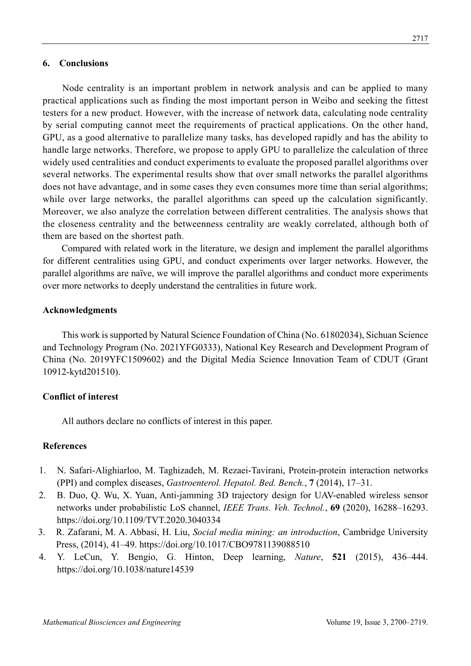### **6. Conclusions**

Node centrality is an important problem in network analysis and can be applied to many practical applications such as finding the most important person in Weibo and seeking the fittest testers for a new product. However, with the increase of network data, calculating node centrality by serial computing cannot meet the requirements of practical applications. On the other hand, GPU, as a good alternative to parallelize many tasks, has developed rapidly and has the ability to handle large networks. Therefore, we propose to apply GPU to parallelize the calculation of three widely used centralities and conduct experiments to evaluate the proposed parallel algorithms over several networks. The experimental results show that over small networks the parallel algorithms does not have advantage, and in some cases they even consumes more time than serial algorithms; while over large networks, the parallel algorithms can speed up the calculation significantly. Moreover, we also analyze the correlation between different centralities. The analysis shows that the closeness centrality and the betweenness centrality are weakly correlated, although both of them are based on the shortest path.

Compared with related work in the literature, we design and implement the parallel algorithms for different centralities using GPU, and conduct experiments over larger networks. However, the parallel algorithms are naïve, we will improve the parallel algorithms and conduct more experiments over more networks to deeply understand the centralities in future work.

#### **Acknowledgments**

This work is supported by Natural Science Foundation of China (No. 61802034), Sichuan Science and Technology Program (No. 2021YFG0333), National Key Research and Development Program of China (No. 2019YFC1509602) and the Digital Media Science Innovation Team of CDUT (Grant 10912-kytd201510).

### **Conflict of interest**

All authors declare no conflicts of interest in this paper.

## **References**

- 1. N. Safari-Alighiarloo, M. Taghizadeh, M. Rezaei-Tavirani, Protein-protein interaction networks (PPI) and complex diseases, *Gastroenterol. Hepatol. Bed. Bench.*, **7** (2014), 17–31.
- 2. B. Duo, Q. Wu, X. Yuan, Anti-jamming 3D trajectory design for UAV-enabled wireless sensor networks under probabilistic LoS channel, *IEEE Trans. Veh. Technol.*, **69** (2020), 16288–16293. https://doi.org/10.1109/TVT.2020.3040334
- 3. R. Zafarani, M. A. Abbasi, H. Liu, *Social media mining: an introduction*, Cambridge University Press, (2014), 41–49. https://doi.org/10.1017/CBO9781139088510
- 4. Y. LeCun, Y. Bengio, G. Hinton, Deep learning, *Nature*, **521** (2015), 436–444. https://doi.org/10.1038/nature14539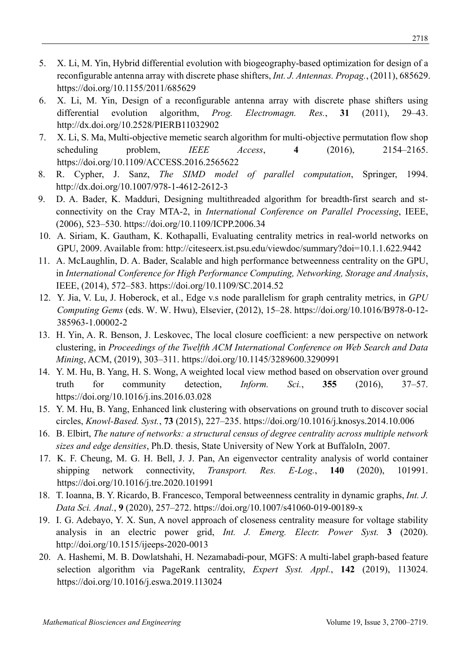- 5. X. Li, M. Yin, Hybrid differential evolution with biogeography-based optimization for design of a reconfigurable antenna array with discrete phase shifters, *Int. J. Antennas. Propag.*, (2011), 685629. https://doi.org/10.1155/2011/685629
- 6. X. Li, M. Yin, Design of a reconfigurable antenna array with discrete phase shifters using differential evolution algorithm, *Prog. Electromagn. Res.*, **31** (2011), 29–43. http://dx.doi.org/10.2528/PIERB11032902
- 7. X. Li, S. Ma, Multi-objective memetic search algorithm for multi-objective permutation flow shop scheduling problem, *IEEE Access*, **4** (2016), 2154–2165. https://doi.org/10.1109/ACCESS.2016.2565622
- 8. R. Cypher, J. Sanz, *The SIMD model of parallel computation*, Springer, 1994. http://dx.doi.org/10.1007/978-1-4612-2612-3
- 9. D. A. Bader, K. Madduri, Designing multithreaded algorithm for breadth-first search and stconnectivity on the Cray MTA-2, in *International Conference on Parallel Processing*, IEEE, (2006), 523–530. https://doi.org/10.1109/ICPP.2006.34
- 10. A. Siriam, K. Gautham, K. Kothapalli, Evaluating centrality metrics in real-world networks on GPU, 2009. Available from: http://citeseerx.ist.psu.edu/viewdoc/summary?doi=10.1.1.622.9442
- 11. A. McLaughlin, D. A. Bader, Scalable and high performance betweenness centrality on the GPU, in *International Conference for High Performance Computing, Networking, Storage and Analysis*, IEEE, (2014), 572–583. https://doi.org/10.1109/SC.2014.52
- 12. Y. Jia, V. Lu, J. Hoberock, et al., Edge v.s node parallelism for graph centrality metrics, in *GPU Computing Gems* (eds. W. W. Hwu), Elsevier, (2012), 15–28. https://doi.org/10.1016/B978-0-12- 385963-1.00002-2
- 13. H. Yin, A. R. Benson, J. Leskovec, The local closure coefficient: a new perspective on network clustering, in *Proceedings of the Twelfth ACM International Conference on Web Search and Data Mining*, ACM, (2019), 303–311. https://doi.org/10.1145/3289600.3290991
- 14. Y. M. Hu, B. Yang, H. S. Wong, A weighted local view method based on observation over ground truth for community detection, *Inform. Sci.*, **355** (2016), 37–57. https://doi.org/10.1016/j.ins.2016.03.028
- 15. Y. M. Hu, B. Yang, Enhanced link clustering with observations on ground truth to discover social circles, *Knowl-Based. Syst.*, **73** (2015), 227–235. https://doi.org/10.1016/j.knosys.2014.10.006
- 16. B. Elbirt, *The nature of networks: a structural census of degree centrality across multiple network sizes and edge densities*, Ph.D. thesis, State University of New York at BuffaloIn, 2007.
- 17. K. F. Cheung, M. G. H. Bell, J. J. Pan, An eigenvector centrality analysis of world container shipping network connectivity, *Transport. Res. E-Log.*, **140** (2020), 101991. https://doi.org/10.1016/j.tre.2020.101991
- 18. T. Ioanna, B. Y. Ricardo, B. Francesco, Temporal betweenness centrality in dynamic graphs, *Int. J. Data Sci. Anal.*, **9** (2020), 257–272. https://doi.org/10.1007/s41060-019-00189-x
- 19. I. G. Adebayo, Y. X. Sun, A novel approach of closeness centrality measure for voltage stability analysis in an electric power grid, *Int. J. Emerg. Electr. Power Syst.* **3** (2020). http://doi.org/10.1515/ijeeps-2020-0013
- 20. A. Hashemi, M. B. Dowlatshahi, H. Nezamabadi-pour, MGFS: A multi-label graph-based feature selection algorithm via PageRank centrality, *Expert Syst. Appl.*, **142** (2019), 113024. https://doi.org/10.1016/j.eswa.2019.113024